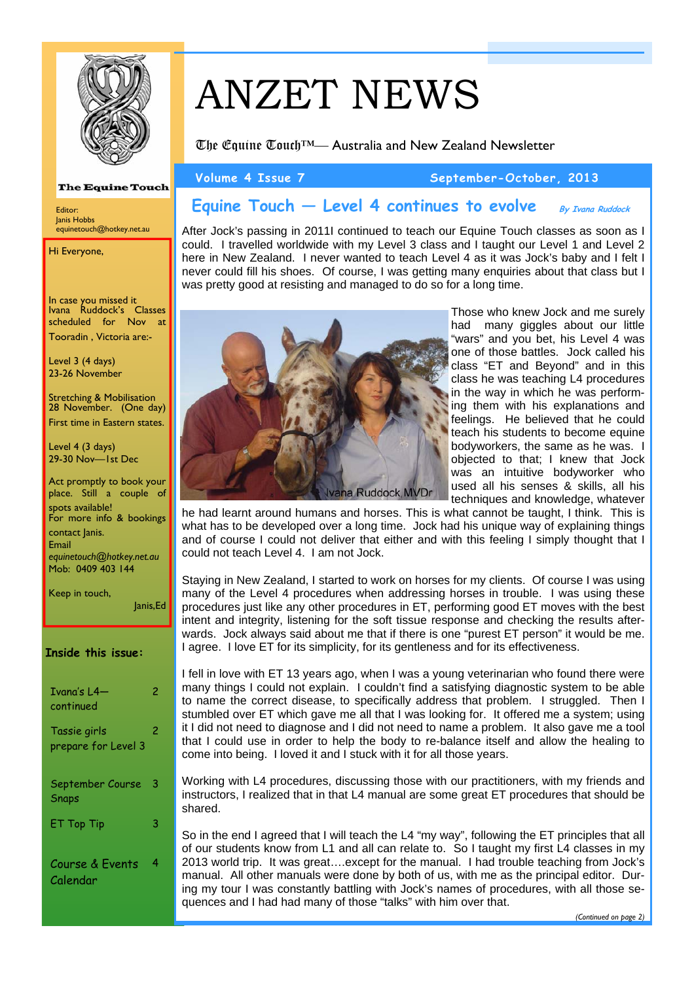

**The Equine Touch** 

equinetouch@hotkey.net.au

In case you missed it Ivana Ruddock's Classes scheduled for Nov at Tooradin , Victoria are:-

Level 3 (4 days) 23-26 November

Level 4 (3 days) 29-30 Nov—1st Dec

spots available!

contact lanis. Email

Keep in touch,

Stretching & Mobilisation 28 November. (One day) First time in Eastern states.

Act promptly to book your place. Still a couple of

For more info & bookings

*equinetouch@hotkey.net.au*  Mob: 0409 403 144

Editor: Janis Hobbs

Hi Everyone,

# ANZET NEWS

The Equine Touch™— Australia and New Zealand Newsletter

**Volume 4 Issue 7 September-October, 2013** 

#### **Equine Touch — Level 4 continues to evolve By Ivana Ruddock**

After Jock's passing in 2011I continued to teach our Equine Touch classes as soon as I could. I travelled worldwide with my Level 3 class and I taught our Level 1 and Level 2 here in New Zealand. I never wanted to teach Level 4 as it was Jock's baby and I felt I never could fill his shoes. Of course, I was getting many enquiries about that class but I was pretty good at resisting and managed to do so for a long time.



Those who knew Jock and me surely had many giggles about our little "wars" and you bet, his Level 4 was one of those battles. Jock called his class "ET and Beyond" and in this class he was teaching L4 procedures in the way in which he was performing them with his explanations and feelings. He believed that he could teach his students to become equine bodyworkers, the same as he was. I objected to that; I knew that Jock was an intuitive bodyworker who used all his senses & skills, all his techniques and knowledge, whatever

he had learnt around humans and horses. This is what cannot be taught, I think. This is what has to be developed over a long time. Jock had his unique way of explaining things and of course I could not deliver that either and with this feeling I simply thought that I could not teach Level 4. I am not Jock.

Staying in New Zealand, I started to work on horses for my clients. Of course I was using many of the Level 4 procedures when addressing horses in trouble. I was using these procedures just like any other procedures in ET, performing good ET moves with the best intent and integrity, listening for the soft tissue response and checking the results afterwards. Jock always said about me that if there is one "purest ET person" it would be me. I agree. I love ET for its simplicity, for its gentleness and for its effectiveness.

I fell in love with ET 13 years ago, when I was a young veterinarian who found there were many things I could not explain. I couldn't find a satisfying diagnostic system to be able to name the correct disease, to specifically address that problem. I struggled. Then I stumbled over ET which gave me all that I was looking for. It offered me a system; using it I did not need to diagnose and I did not need to name a problem. It also gave me a tool that I could use in order to help the body to re-balance itself and allow the healing to come into being. I loved it and I stuck with it for all those years.

Working with L4 procedures, discussing those with our practitioners, with my friends and instructors, I realized that in that L4 manual are some great ET procedures that should be shared.

So in the end I agreed that I will teach the L4 "my way", following the ET principles that all of our students know from L1 and all can relate to. So I taught my first L4 classes in my 2013 world trip. It was great….except for the manual. I had trouble teaching from Jock's manual. All other manuals were done by both of us, with me as the principal editor. During my tour I was constantly battling with Jock's names of procedures, with all those sequences and I had had many of those "talks" with him over that.

Calendar

2

Janis,Ed

2

4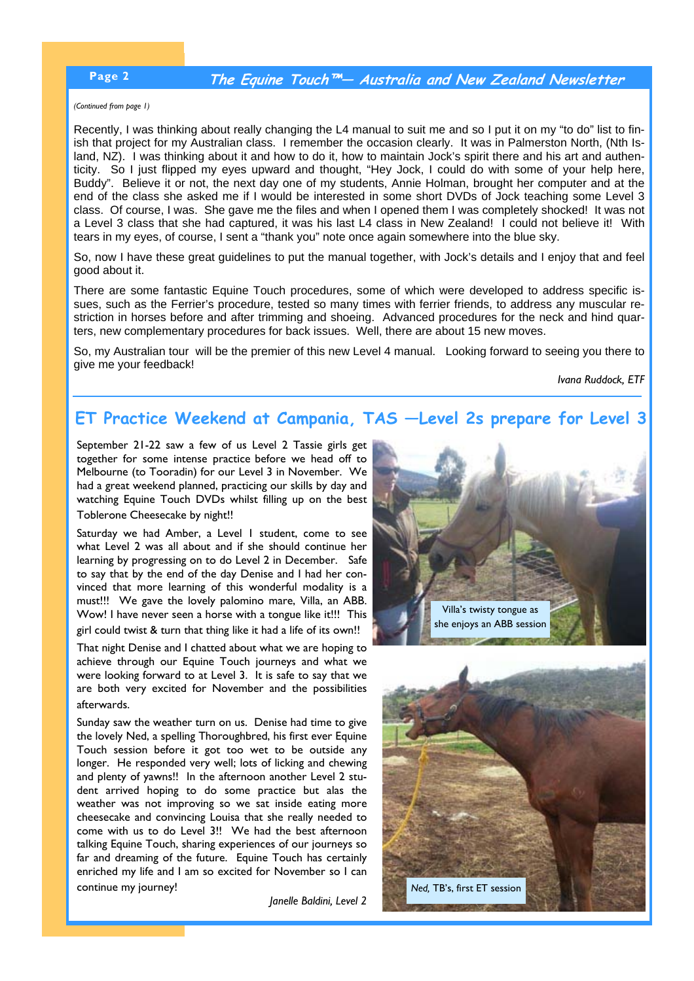## **Page 2 The Equine Touch™— Australia and New Zealand Newsletter**

*(Continued from page 1)* 

Recently, I was thinking about really changing the L4 manual to suit me and so I put it on my "to do" list to finish that project for my Australian class. I remember the occasion clearly. It was in Palmerston North, (Nth Island, NZ). I was thinking about it and how to do it, how to maintain Jock's spirit there and his art and authenticity. So I just flipped my eyes upward and thought, "Hey Jock, I could do with some of your help here, Buddy". Believe it or not, the next day one of my students, Annie Holman, brought her computer and at the end of the class she asked me if I would be interested in some short DVDs of Jock teaching some Level 3 class. Of course, I was. She gave me the files and when I opened them I was completely shocked! It was not a Level 3 class that she had captured, it was his last L4 class in New Zealand! I could not believe it! With tears in my eyes, of course, I sent a "thank you" note once again somewhere into the blue sky.

So, now I have these great guidelines to put the manual together, with Jock's details and I enjoy that and feel good about it.

There are some fantastic Equine Touch procedures, some of which were developed to address specific issues, such as the Ferrier's procedure, tested so many times with ferrier friends, to address any muscular restriction in horses before and after trimming and shoeing. Advanced procedures for the neck and hind quarters, new complementary procedures for back issues. Well, there are about 15 new moves.

So, my Australian tour will be the premier of this new Level 4 manual. Looking forward to seeing you there to give me your feedback!

*Ivana Ruddock, ETF* 

# **ET Practice Weekend at Campania, TAS —Level 2s prepare for Level 3**

September 21-22 saw a few of us Level 2 Tassie girls get together for some intense practice before we head off to Melbourne (to Tooradin) for our Level 3 in November. We had a great weekend planned, practicing our skills by day and watching Equine Touch DVDs whilst filling up on the best Toblerone Cheesecake by night!!

Saturday we had Amber, a Level 1 student, come to see what Level 2 was all about and if she should continue her learning by progressing on to do Level 2 in December. Safe to say that by the end of the day Denise and I had her convinced that more learning of this wonderful modality is a must!!! We gave the lovely palomino mare, Villa, an ABB. Wow! I have never seen a horse with a tongue like it!!! This girl could twist & turn that thing like it had a life of its own!!

That night Denise and I chatted about what we are hoping to achieve through our Equine Touch journeys and what we were looking forward to at Level 3. It is safe to say that we are both very excited for November and the possibilities afterwards.

Sunday saw the weather turn on us. Denise had time to give the lovely Ned, a spelling Thoroughbred, his first ever Equine Touch session before it got too wet to be outside any longer. He responded very well; lots of licking and chewing and plenty of yawns!! In the afternoon another Level 2 student arrived hoping to do some practice but alas the weather was not improving so we sat inside eating more cheesecake and convincing Louisa that she really needed to come with us to do Level 3!! We had the best afternoon talking Equine Touch, sharing experiences of our journeys so far and dreaming of the future. Equine Touch has certainly enriched my life and I am so excited for November so I can continue my journey!

*Janelle Baldini, Level 2*